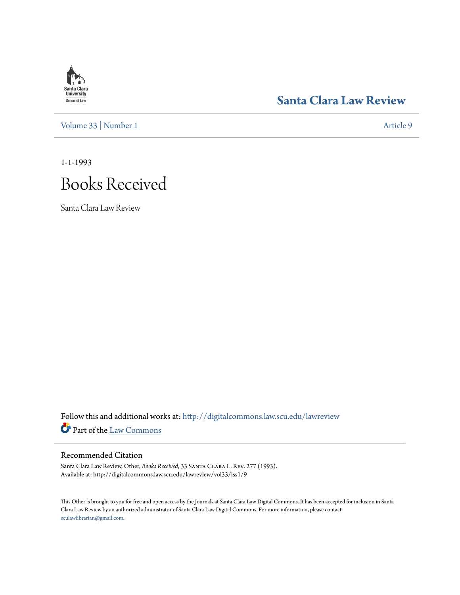## **Santa Clara**<br>**University** School of Law

### **[Santa Clara Law Review](http://digitalcommons.law.scu.edu/lawreview?utm_source=digitalcommons.law.scu.edu%2Flawreview%2Fvol33%2Fiss1%2F9&utm_medium=PDF&utm_campaign=PDFCoverPages)**

[Volume 33](http://digitalcommons.law.scu.edu/lawreview/vol33?utm_source=digitalcommons.law.scu.edu%2Flawreview%2Fvol33%2Fiss1%2F9&utm_medium=PDF&utm_campaign=PDFCoverPages) | [Number 1](http://digitalcommons.law.scu.edu/lawreview/vol33/iss1?utm_source=digitalcommons.law.scu.edu%2Flawreview%2Fvol33%2Fiss1%2F9&utm_medium=PDF&utm_campaign=PDFCoverPages) [Article 9](http://digitalcommons.law.scu.edu/lawreview/vol33/iss1/9?utm_source=digitalcommons.law.scu.edu%2Flawreview%2Fvol33%2Fiss1%2F9&utm_medium=PDF&utm_campaign=PDFCoverPages)

1-1-1993

# Books Received

Santa Clara Law Review

Follow this and additional works at: [http://digitalcommons.law.scu.edu/lawreview](http://digitalcommons.law.scu.edu/lawreview?utm_source=digitalcommons.law.scu.edu%2Flawreview%2Fvol33%2Fiss1%2F9&utm_medium=PDF&utm_campaign=PDFCoverPages) Part of the [Law Commons](http://network.bepress.com/hgg/discipline/578?utm_source=digitalcommons.law.scu.edu%2Flawreview%2Fvol33%2Fiss1%2F9&utm_medium=PDF&utm_campaign=PDFCoverPages)

#### Recommended Citation

Santa Clara Law Review, Other, *Books Received*, 33 Santa Clara L. Rev. 277 (1993). Available at: http://digitalcommons.law.scu.edu/lawreview/vol33/iss1/9

This Other is brought to you for free and open access by the Journals at Santa Clara Law Digital Commons. It has been accepted for inclusion in Santa Clara Law Review by an authorized administrator of Santa Clara Law Digital Commons. For more information, please contact [sculawlibrarian@gmail.com](mailto:sculawlibrarian@gmail.com).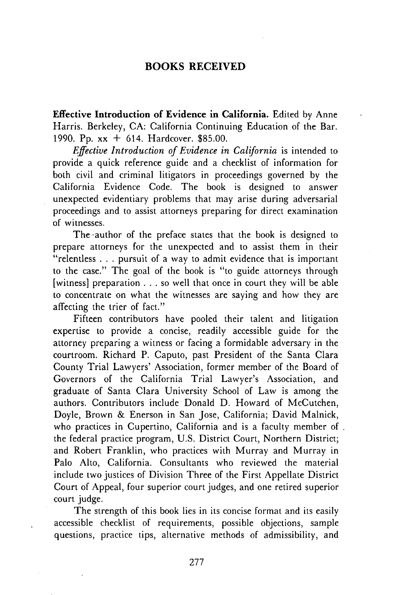#### **BOOKS RECEIVED**

**Effective Introduction of Evidence in California.** Edited **by** Anne Harris. Berkeley, **CA:** California Continuing Education of the Bar. **1990. Pp.** xx **+** 614. Hardcover. **\$85.00.**

*Effective Introduction of Evidence in California* is intended to provide a quick reference guide and a checklist of information for both civil and criminal litigators in proceedings governed **by** the California Evidence Code. The book is designed to answer unexpected evidentiary problems that may arise during adversarial proceedings and to assist attorneys preparing for direct examination of witnesses.

The author of the preface states that the book is designed to prepare attorneys for the unexpected and to assist them in their "relentless **. . .** pursuit of a way to admit evidence that is important to the case." The goal of the book is "to guide attorneys through [witness] preparation **. . .** so well that once in court they will be able to concentrate on what the witnesses are saying and how they are affecting the trier of fact."

Fifteen contributors have pooled their talent and litigation expertise to provide a concise, readily accessible guide for the attorney preparing a witness or facing a formidable adversary in the courtroom. Richard P. Caputo, past President of the Santa Clara County Trial Lawyers' Association, former member of the Board of Governors of the California Trial Lawyer's Association, and graduate of Santa Clara University School of Law is among the authors. Contributors include Donald **D.** Howard of McCutchen, Doyle, Brown **&** Enerson in San Jose, California; David Malnick, who practices in Cupertino, California and is a faculty member of. the federal practice program, **U.S.** District Court, Northern District; and Robert Franklin, who practices with Murray and Murray in Palo Alto, California. Consultants who reviewed the material include two justices of Division Three of the First Appellate District Court of Appeal, four superior court judges, and one retired superior court judge.

The strength of this book lies in its concise format and its easily accessible checklist of requirements, possible objections, sample questions, practice tips, alternative methods of admissibility, and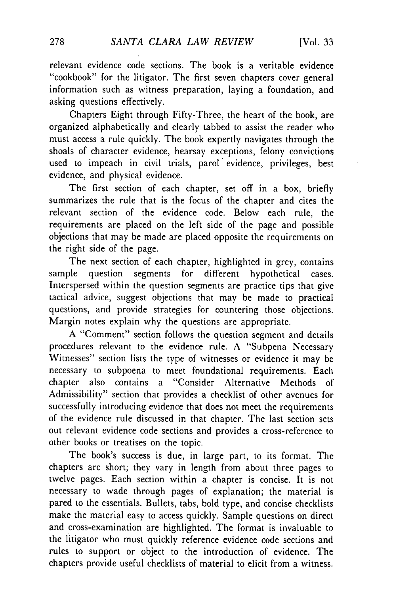relevant evidence code sections. The book is a veritable evidence "cookbook" for the litigator. The first seven chapters cover general information such as witness preparation, laying a foundation, and asking questions effectively.

Chapters Eight through Fifty-Three, the heart of the book, are organized alphabetically and clearly tabbed to assist the reader who must access a rule quickly. The book expertly navigates through the shoals of character evidence, hearsay exceptions, felony convictions used to impeach in civil trials, parol evidence, privileges, best evidence, and physical evidence.

The first section of each chapter, set off in a box, briefly summarizes the rule that is the focus of the chapter and cites the relevant section of the evidence code. Below each rule, the requirements are placed on the left side of the page and possible objections that may be made are placed opposite the requirements on the right side of the page.

The next section of each chapter, highlighted in grey, contains sample question segments for different hypothetical cases. Interspersed within the question segments are practice tips that give tactical advice, suggest objections that may be made to practical questions, and provide strategies for countering those objections. Margin notes explain why the questions are appropriate.

A "Comment" section follows the question segment and details procedures relevant to the evidence rule. A "Subpena Necessary Witnesses" section lists the type of witnesses or evidence it may be necessary to subpoena to meet foundational requirements. Each chapter also contains a "Consider Alternative Methods of Admissibility" section that provides a checklist of other avenues for successfully introducing evidence that does not meet the requirements of the evidence rule discussed in that chapter. The last section sets out relevant evidence code sections and provides a cross-reference to other books or treatises on the topic.

The book's success is due, in large part, to its format. The chapters are short; they vary in length from about three pages to twelve pages. Each section within a chapter is concise. It is not necessary to wade through pages of explanation; the material is pared to the essentials. Bullets, tabs, bold type, and concise checklists make the material easy to access quickly. Sample questions on direct and cross-examination are highlighted. The format is invaluable to the litigator who must quickly reference evidence code sections and rules to support or object to the introduction of evidence. The chapters provide useful checklists of material to elicit from a witness.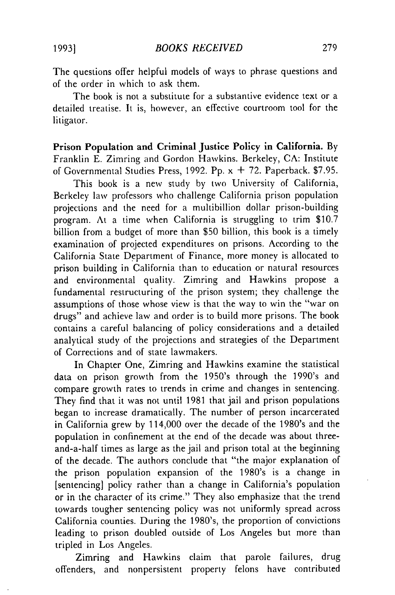The questions offer helpful models of ways to phrase questions and of the order in which to ask them.

The book is not a substitute for a substantive evidence text or a detailed treatise. It is, however, an effective courtroom tool for the litigator.

Prison Population **and Criminal Justice Policy in California. By** Franklin E. Zimring and Gordon Hawkins. Berkeley, CA: Institute of Governmental Studies Press, 1992. Pp.  $x + 72$ . Paperback. \$7.95.

This book is a new study by two University of California, Berkeley law professors who challenge California prison population projections and the need for a multibillion dollar prison-building program. At a time when California is struggling to trim \$10.7 billion from a budget of more than \$50 billion, this book is a timely examination of projected expenditures on prisons. According to the California State Department of Finance, more money is allocated to prison building in California than to education or natural resources and environmental quality. Zimring and Hawkins propose a fundamental restructuring of the prison system; they challenge the assumptions of those whose view is that the way to win the "war on drugs" and achieve law and order is to build more prisons. The book contains a careful balancing of policy considerations and a detailed analytical study of the projections and strategies of the Department of Corrections and of state lawmakers.

In Chapter One, Zimring and Hawkins examine the statistical data on prison growth from the 1950's through the 1990's and compare growth rates to trends in crime and changes in sentencing. They find that it was not until 1981 that jail and prison populations began to increase dramatically. The number of person incarcerated in California grew by 114,000 over the decade of the 1980's and the population in confinement at the end of the decade was about threeand-a-half times as large as the jail and prison total at the beginning of the decade. The authors conclude that "the major explanation of the prison population expansion of the 1980's is a change in [sentencing] policy rather than a change in California's population or in the character of its crime." They also emphasize that the trend towards tougher sentencing policy was not uniformly spread across California counties. During the 1980's, the proportion of convictions leading to prison doubled outside of Los Angeles but more than tripled in Los Angeles.

Zimring and Hawkins claim that parole failures, drug offenders, and nonpersistent property felons have contributed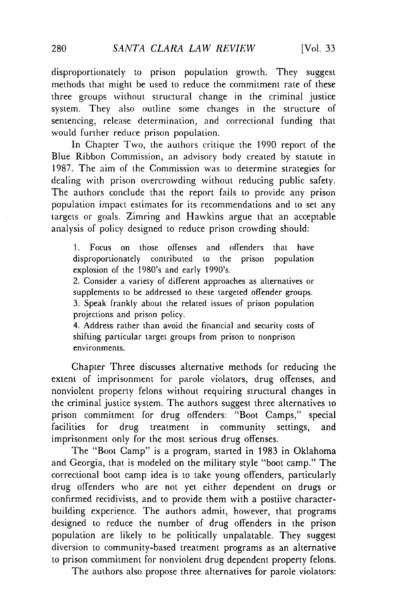disproportionately to prison population growth. They suggest methods that might be used to reduce the commitment rate of these three groups without structural change in the criminal justice system. They also outline some changes in the structure of sentencing, release determination, and correctional funding that would further reduce prison population.

In Chapter Two, the authors critique the 1990 report of the Blue Ribbon Commission, an advisory body created by statute in 1987. The aim of the Commission was to determine strategies for dealing with prison overcrowding without reducing public safety. The authors conclude that the report fails to provide any prison population impact estimates for its recommendations and to set any targets or goals. Zimring and Hawkins argue that an acceptable analysis of policy designed to reduce prison crowding should:

1. Focus on those offenses and offenders that have disproportionately contributed to the prison population explosion of the 1980's and early 1990's.

2. Consider a variety of different approaches as alternatives or supplements to be addressed to these targeted offender groups.

3. Speak frankly about the related issues of prison population projections and prison policy.

4. Address rather than avoid the financial and security costs of shifting particular target groups from prison to nonprison environments.

Chapter Three discusses alternative methods for reducing the extent of imprisonment for parole violators, drug offenses, and nonviolent property felons without requiring structural changes in the criminal justice system. The authors suggest three alternatives to prison commitment for drug offenders: "Boot Camps," special facilities for drug treatment in community settings, and imprisonment only for the most serious drug offenses.

The "Boot Camp" is a program, started in 1983 in Oklahoma and Georgia, that is modeled on the military style "boot camp." The correctional boot camp idea is to take young offenders, particularly drug offenders who are not yet either dependent on drugs or confirmed recidivists, and to provide them with a postiive characterbuilding experience. The authors admit, however, that programs designed to reduce the number of drug offenders in the prison population are likely to be politically unpalatable. They suggest diversion to community-based treatment programs as an alternative to prison commitment for nonviolent drug dependent property felons.

The authors also propose three alternatives for parole violators: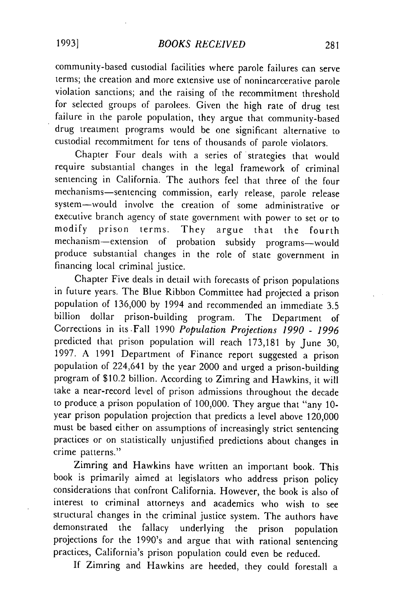community-based custodial facilities where parole failures can serve terms; the creation and more extensive use of nonincarcerative parole violation sanctions; and the raising of the recommitment threshold for selected groups of parolees. Given the high rate of drug test failure in the parole population, they argue that community-based drug treatment programs would be one significant alternative to custodial recommitment for tens of thousands of parole violators.

Chapter Four deals with a series of strategies that would require substantial changes in the legal framework of criminal sentencing in California. The authors feel that three of the four mechanisms-sentencing commission, early release, parole release system-would involve the creation of some administrative or executive branch agency of state government with power to set or to modify prison terms. They argue that the fourth mechanism-extension of probation subsidy programs-would produce substantial changes in the role of state government in financing local criminal justice.

Chapter Five deals in detail with forecasts of prison populations in future years. The Blue Ribbon Committee had projected a prison population of 136,000 by 1994 and recommended an immediate 3.5 billion dollar prison-building program. The Department of Corrections in its.Fall 1990 *Population Projections 1990* - *1996* predicted that prison population will reach 173,181 by June 30, 1997. A 1991 Department of Finance report suggested a prison population of 224,641 by the year 2000 and urged a prison-building program of \$10.2 billion. According to Zimring and Hawkins, it will take a near-record level of prison admissions throughout the decade to produce a prison population of 100,000. They argue that "any 10year prison population projection that predicts a level above 120,000 must be based either on assumptions of increasingly strict sentencing practices or on statistically unjustified predictions about changes in crime patterns."

Zimring and Hawkins have written an important book. This book is primarily aimed at legislators who address prison policy considerations that confront California. However, the book is also of interest to criminal attorneys and academics who wish to see structural changes in the criminal justice system. The authors have demonstrated the fallacy underlying the prison population projections for the 1990's and argue that with rational sentencing practices, California's prison population could even be reduced.

If Zimring and Hawkins are heeded, they could forestall a